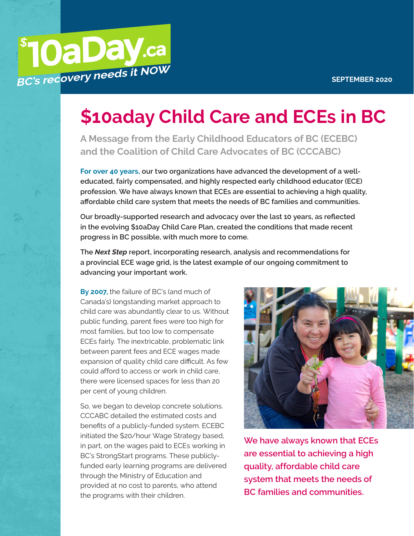

## **\$10aday Child Care and ECEs in BC**

**A Message from the Early Childhood Educators of BC (ECEBC) and the Coalition of Child Care Advocates of BC (CCCABC)**

**For over 40 years, our two organizations have advanced the development of a welleducated, fairly compensated, and highly respected early childhood educator (ECE) profession. We have always known that ECEs are essential to achieving a high quality, affordable child care system that meets the needs of BC families and communities.**

**Our broadly-supported research and advocacy over the last 10 years, as reflected in the evolving \$10aDay Child Care Plan, created the conditions that made recent progress in BC possible, with much more to come.**

**The** *Next Step* **report, incorporating research, analysis and recommendations for a provincial ECE wage grid, is the latest example of our ongoing commitment to advancing your important work.**

**By 2007,** the failure of BC's (and much of Canada's) longstanding market approach to child care was abundantly clear to us. Without public funding, parent fees were too high for most families, but too low to compensate ECEs fairly. The inextricable, problematic link between parent fees and ECE wages made expansion of quality child care difficult. As few could afford to access or work in child care, there were licensed spaces for less than 20 per cent of young children.

So, we began to develop concrete solutions. CCCABC detailed the estimated costs and benefits of a publicly-funded system. ECEBC initiated the \$20/hour Wage Strategy based, in part, on the wages paid to ECEs working in BC's StrongStart programs. These publiclyfunded early learning programs are delivered through the Ministry of Education and provided at no cost to parents, who attend the programs with their children.



**We have always known that ECEs are essential to achieving a high quality, affordable child care system that meets the needs of BC families and communities.**